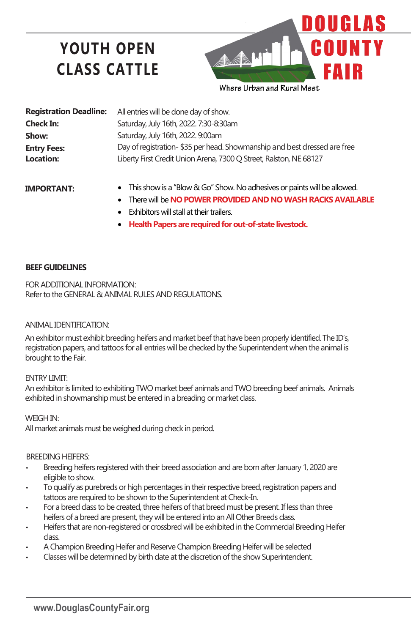# **YOUTH OPEN CLASS CATTLE**



| <b>Registration Deadline:</b> | All entries will be done day of show.                                    |
|-------------------------------|--------------------------------------------------------------------------|
| <b>Check In:</b>              | Saturday, July 16th, 2022. 7:30-8:30am                                   |
| Show:                         | Saturday, July 16th, 2022. 9:00am                                        |
| <b>Entry Fees:</b>            | Day of registration-\$35 per head. Showmanship and best dressed are free |
| Location:                     | Liberty First Credit Union Arena, 7300 Q Street, Ralston, NE 68127       |
|                               |                                                                          |

## **IMPORTANT:**

- This show is a "Blow & Go" Show. No adhesives or paints will be allowed.
- There will be **NO POWER PROVIDED AND NO WASH RACKS AVAILABLE**
- $\bullet$  Exhibitors will stall at their trailers.
- **Health Papers are required for out-of-state livestock.**

### **BEEF GUIDELINES**

FOR ADDITIONAL INFORMATION: Refer to the GENERAL & ANIMAL RULES AND REGULATIONS.

### ANIMAL IDENTIFICATION:

An exhibitor must exhibit breeding heifers and market beef that have been properly identified. The ID's, registration papers, and tattoos for all entries will be checked by the Superintendent when the animal is brought to the Fair.

#### ENTRY LIMIT:

An exhibitor is limited to exhibiting TWO market beef animals and TWO breeding beef animals. Animals exhibited in showmanship must be entered in a breading or market class.

WEIGH IN:

All market animals must be weighed during check in period.

#### BREEDING HEIFERS:

- Breeding heifers registered with their breed association and are born after January 1, 2020 are eligible to show.
- To qualify as purebreds or high percentages in their respective breed, registration papers and tattoos are required to be shown to the Superintendent at Check-In.
- For a breed class to be created, three heifers of that breed must be present. If less than three heifers of a breed are present, they will be entered into an All Other Breeds class.
- Heifers that are non-registered or crossbred will be exhibited in the Commercial Breeding Heifer class.
- A Champion Breeding Heifer and Reserve Champion Breeding Heifer will be selected
- Classes will be determined by birth date at the discretion of the show Superintendent.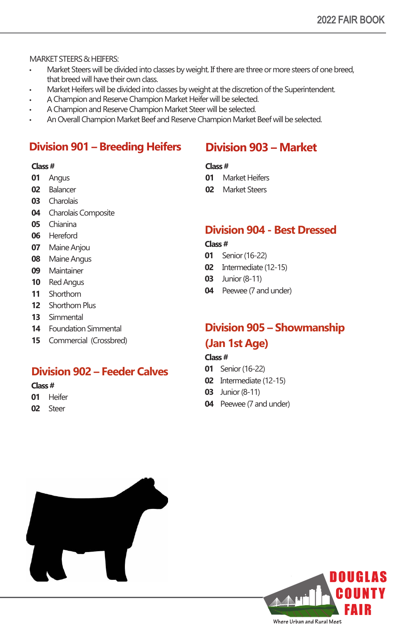MARKET STEERS & HEIFERS:

- Market Steers will be divided into classes by weight. If there are three or more steers of one breed, that breed will have their own class.
- Market Heifers will be divided into classes by weight at the discretion of the Superintendent.
- A Champion and Reserve Champion Market Heifer will be selected.
- A Champion and Reserve Champion Market Steer will be selected.
- An Overall Champion Market Beef and Reserve Champion Market Beef will be selected.

## **Division 901 – Breeding Heifers**

#### **Class #**

- Angus
- Balancer
- Charolais
- Charolais Composite
- Chianina
- Hereford
- Maine Anjou
- Maine Angus
- Maintainer
- Red Angus
- Shorthorn
- Shorthorn Plus
- Simmental
- Foundation Simmental
- Commercial (Crossbred)

## **Division 902 – Feeder Calves**

### **Class #**

- Heifer
- Steer

## Market Heifers

**Division 903 – Market** 

Market Steers

## **Division 904 - Best Dressed**

## **Class #**

**Class #**

- Senior(16-22)
- Intermediate (12-15)
- Junior(8-11)
- Peewee (7 and under)

## **Division 905 – Showmanship (Jan 1st Age)**

## **Class #**

- Senior (16-22)
- Intermediate (12-15)
- Junior (8-11)
- Peewee (7 and under)